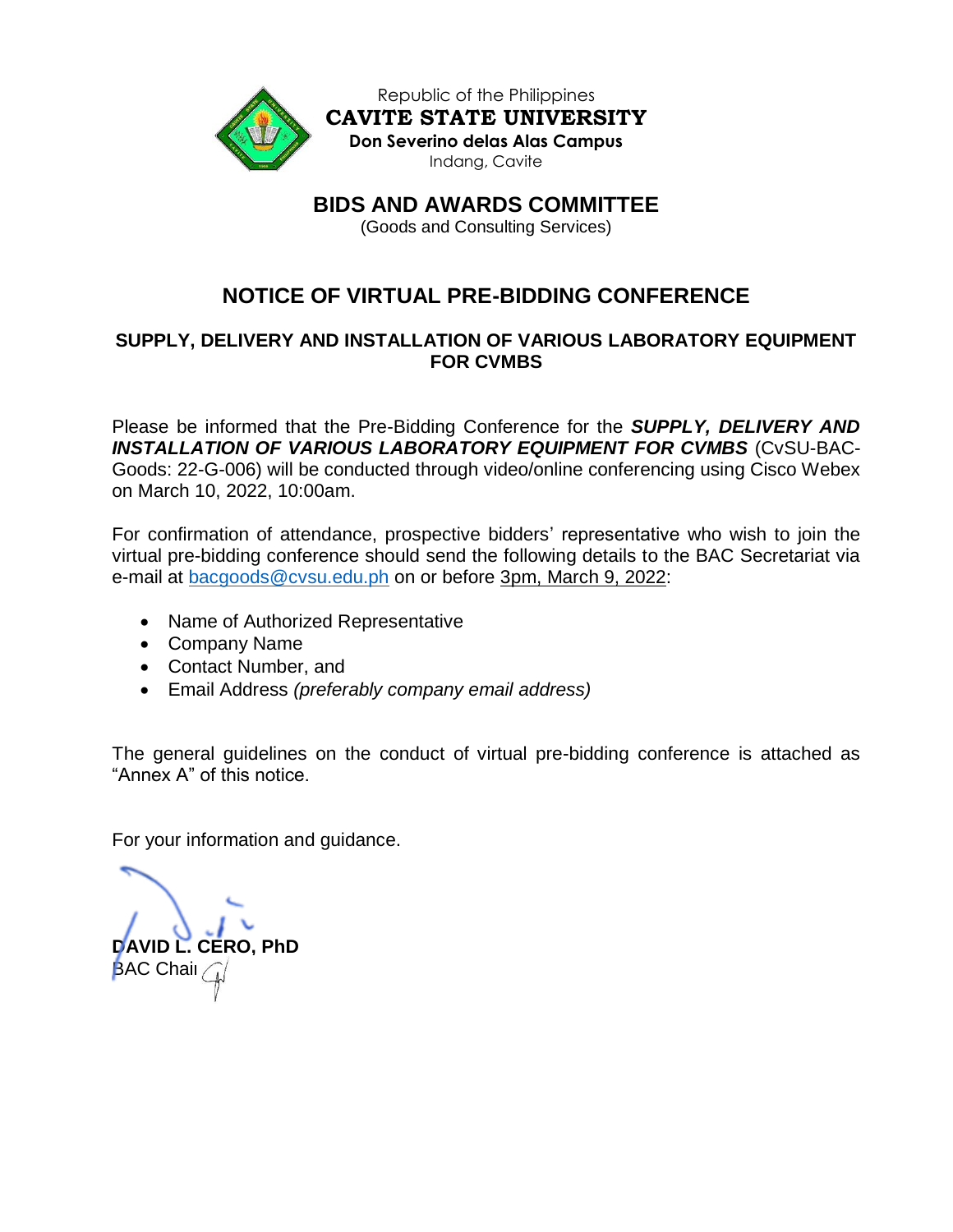

Republic of the Philippines **CAVITE STATE UNIVERSITY Don Severino delas Alas Campus** Indang, Cavite

**BIDS AND AWARDS COMMITTEE**

(Goods and Consulting Services)

# **NOTICE OF VIRTUAL PRE-BIDDING CONFERENCE**

## **SUPPLY, DELIVERY AND INSTALLATION OF VARIOUS LABORATORY EQUIPMENT FOR CVMBS**

Please be informed that the Pre-Bidding Conference for the *SUPPLY, DELIVERY AND INSTALLATION OF VARIOUS LABORATORY EQUIPMENT FOR CVMBS* (CvSU-BAC-Goods: 22-G-006) will be conducted through video/online conferencing using Cisco Webex on March 10, 2022, 10:00am.

For confirmation of attendance, prospective bidders' representative who wish to join the virtual pre-bidding conference should send the following details to the BAC Secretariat via e-mail at [bacgoods@cvsu.edu.ph](mailto:bacgoods@cvsu.edu.ph) on or before 3pm, March 9, 2022:

- Name of Authorized Representative
- Company Name
- Contact Number, and
- Email Address *(preferably company email address)*

The general guidelines on the conduct of virtual pre-bidding conference is attached as "Annex A" of this notice.

For your information and guidance.

**DAVID L. CERO, PhD BAC Chair**